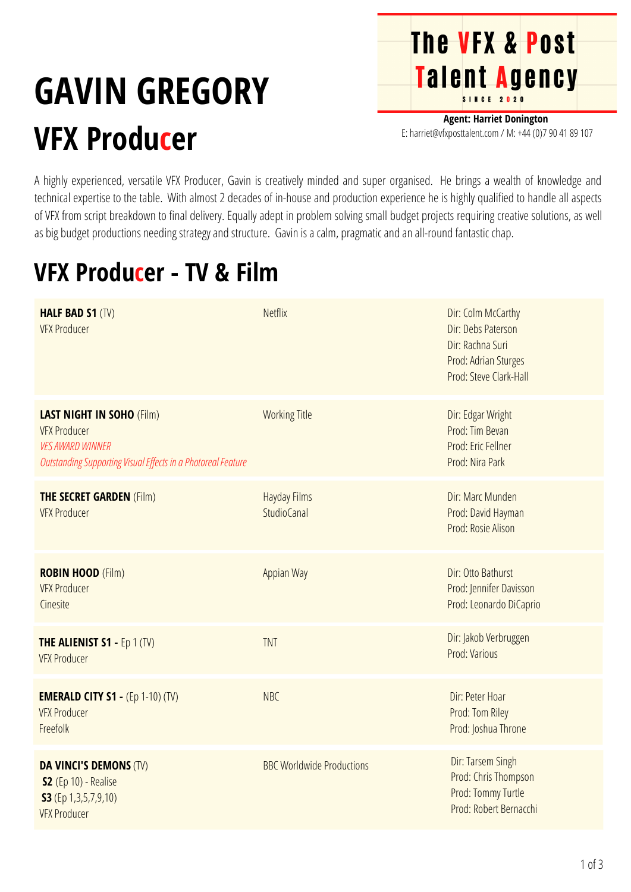## **GAVIN GREGORY VFX Producer**

**Agent: Harriet Donington** E: harriet@vfxposttalent.com / M:+44(0)7904189107

**The VFX & Post** 

Talent Agency

A highly experienced, versatile VFX Producer, Gavin is creatively minded and super organised. He brings a wealth of knowledge and technical expertise to the table. With almost 2 decades of in-house and production experience he is highly qualified to handle all aspects of VFX from script breakdown to final delivery. Equally adept in problem solving small budget projects requiring creative solutions, as well as big budget productions needing strategy and structure. Gavin is a calm, pragmatic and an all-round fantastic chap.

## **VFX Producer - TV & Film**

| <b>HALF BAD S1 (TV)</b><br><b>VFX Producer</b>                                                                                                            | <b>Netflix</b>                            | Dir: Colm McCarthy<br>Dir: Debs Paterson<br>Dir: Rachna Suri<br>Prod: Adrian Sturges<br>Prod: Steve Clark-Hall |
|-----------------------------------------------------------------------------------------------------------------------------------------------------------|-------------------------------------------|----------------------------------------------------------------------------------------------------------------|
| <b>LAST NIGHT IN SOHO (Film)</b><br><b>VFX Producer</b><br><b>VES AWARD WINNER</b><br><b>Outstanding Supporting Visual Effects in a Photoreal Feature</b> | <b>Working Title</b>                      | Dir: Edgar Wright<br>Prod: Tim Bevan<br>Prod: Eric Fellner<br>Prod: Nira Park                                  |
| <b>THE SECRET GARDEN (Film)</b><br><b>VFX Producer</b>                                                                                                    | <b>Hayday Films</b><br><b>StudioCanal</b> | Dir: Marc Munden<br>Prod: David Hayman<br>Prod: Rosie Alison                                                   |
| <b>ROBIN HOOD (Film)</b><br><b>VFX Producer</b><br>Cinesite                                                                                               | Appian Way                                | Dir: Otto Bathurst<br>Prod: Jennifer Davisson<br>Prod: Leonardo DiCaprio                                       |
| <b>THE ALIENIST S1 - Ep 1 (TV)</b><br><b>VFX Producer</b>                                                                                                 | <b>TNT</b>                                | Dir: Jakob Verbruggen<br>Prod: Various                                                                         |
| <b>EMERALD CITY S1 - (Ep 1-10) (TV)</b><br><b>VFX Producer</b><br>Freefolk                                                                                | <b>NBC</b>                                | Dir: Peter Hoar<br>Prod: Tom Riley<br>Prod: Joshua Throne                                                      |
| <b>DA VINCI'S DEMONS (TV)</b><br>S2 (Ep 10) - Realise<br>S3 (Ep 1,3,5,7,9,10)<br><b>VFX Producer</b>                                                      | <b>BBC Worldwide Productions</b>          | Dir: Tarsem Singh<br>Prod: Chris Thompson<br>Prod: Tommy Turtle<br>Prod: Robert Bernacchi                      |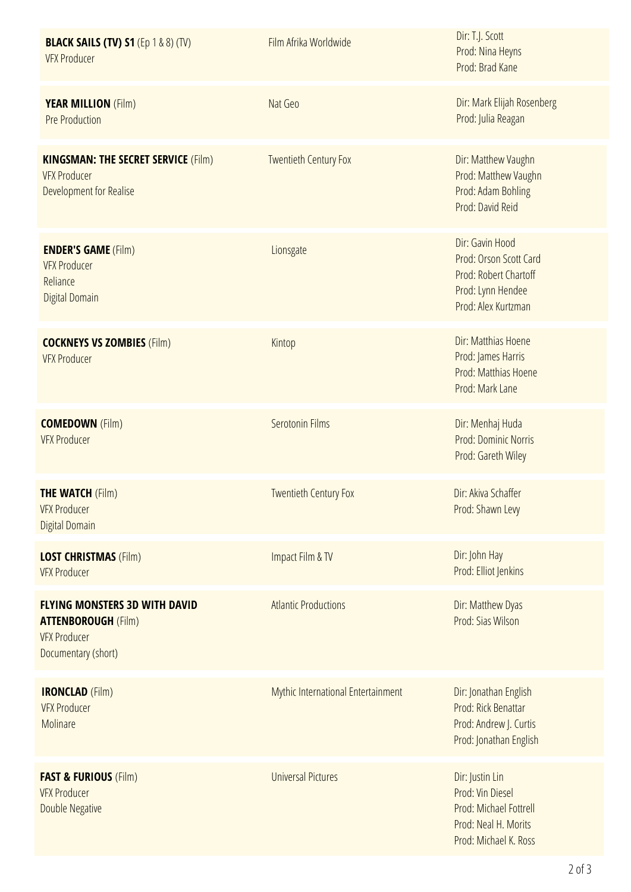| <b>BLACK SAILS (TV) S1 (Ep 1 &amp; 8) (TV)</b><br><b>VFX Producer</b>                                            | Film Afrika Worldwide              | Dir: T.J. Scott<br>Prod: Nina Heyns<br>Prod: Brad Kane                                                         |
|------------------------------------------------------------------------------------------------------------------|------------------------------------|----------------------------------------------------------------------------------------------------------------|
| <b>YEAR MILLION (Film)</b><br><b>Pre Production</b>                                                              | Nat Geo                            | Dir: Mark Elijah Rosenberg<br>Prod: Julia Reagan                                                               |
| <b>KINGSMAN: THE SECRET SERVICE (Film)</b><br><b>VFX Producer</b><br>Development for Realise                     | <b>Twentieth Century Fox</b>       | Dir: Matthew Vaughn<br>Prod: Matthew Vaughn<br>Prod: Adam Bohling<br>Prod: David Reid                          |
| <b>ENDER'S GAME (Film)</b><br><b>VFX Producer</b><br>Reliance<br><b>Digital Domain</b>                           | Lionsgate                          | Dir: Gavin Hood<br>Prod: Orson Scott Card<br>Prod: Robert Chartoff<br>Prod: Lynn Hendee<br>Prod: Alex Kurtzman |
| <b>COCKNEYS VS ZOMBIES (Film)</b><br><b>VFX Producer</b>                                                         | Kintop                             | Dir: Matthias Hoene<br>Prod: James Harris<br>Prod: Matthias Hoene<br>Prod: Mark Lane                           |
| <b>COMEDOWN</b> (Film)<br><b>VFX Producer</b>                                                                    | Serotonin Films                    | Dir: Menhaj Huda<br><b>Prod: Dominic Norris</b><br>Prod: Gareth Wiley                                          |
| <b>THE WATCH (Film)</b><br><b>VFX Producer</b><br><b>Digital Domain</b>                                          | <b>Twentieth Century Fox</b>       | Dir: Akiva Schaffer<br>Prod: Shawn Levy                                                                        |
| <b>LOST CHRISTMAS (Film)</b><br><b>VFX Producer</b>                                                              | Impact Film & TV                   | Dir: John Hay<br>Prod: Elliot Jenkins                                                                          |
| <b>FLYING MONSTERS 3D WITH DAVID</b><br><b>ATTENBOROUGH (Film)</b><br><b>VFX Producer</b><br>Documentary (short) | <b>Atlantic Productions</b>        | Dir: Matthew Dyas<br>Prod: Sias Wilson                                                                         |
| <b>IRONCLAD</b> (Film)<br><b>VFX Producer</b><br>Molinare                                                        | Mythic International Entertainment | Dir: Jonathan English<br>Prod: Rick Benattar<br>Prod: Andrew J. Curtis<br>Prod: Jonathan English               |
| <b>FAST &amp; FURIOUS (Film)</b><br><b>VFX Producer</b><br>Double Negative                                       | <b>Universal Pictures</b>          | Dir: Justin Lin<br>Prod: Vin Diesel<br>Prod: Michael Fottrell<br>Prod: Neal H. Morits<br>Prod: Michael K. Ross |